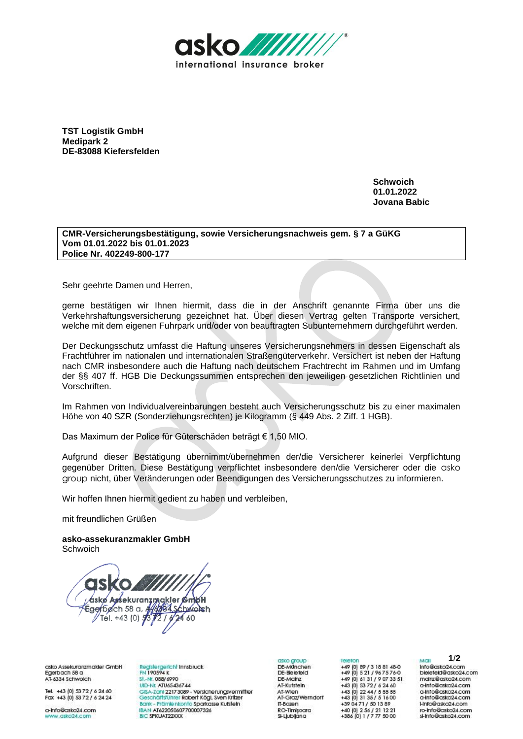

**TST Logistik GmbH Medipark 2 DE-83088 Kiefersfelden**

> **Schwoich 01.01.2022 Jovana Babic**

## **CMR-Versicherungsbestätigung, sowie Versicherungsnachweis gem. § 7 a GüKG Vom 01.01.2022 bis 01.01.2023 Police Nr. 402249-800-177**

Sehr geehrte Damen und Herren,

gerne bestätigen wir Ihnen hiermit, dass die in der Anschrift genannte Firma über uns die Verkehrshaftungsversicherung gezeichnet hat. Über diesen Vertrag gelten Transporte versichert, welche mit dem eigenen Fuhrpark und/oder von beauftragten Subunternehmern durchgeführt werden.

Der Deckungsschutz umfasst die Haftung unseres Versicherungsnehmers in dessen Eigenschaft als Frachtführer im nationalen und internationalen Straßengüterverkehr. Versichert ist neben der Haftung nach CMR insbesondere auch die Haftung nach deutschem Frachtrecht im Rahmen und im Umfang der §§ 407 ff. HGB Die Deckungssummen entsprechen den jeweiligen gesetzlichen Richtlinien und Vorschriften.

Im Rahmen von Individualvereinbarungen besteht auch Versicherungsschutz bis zu einer maximalen Höhe von 40 SZR (Sonderziehungsrechten) je Kilogramm (§ 449 Abs. 2 Ziff. 1 HGB).

Das Maximum der Police für Güterschäden beträgt € 1,50 MIO.

Aufgrund dieser Bestätigung übernimmt/übernehmen der/die Versicherer keinerlei Verpflichtung gegenüber Dritten. Diese Bestätigung verpflichtet insbesondere den/die Versicherer oder die asko group nicht, über Veränderungen oder Beendigungen des Versicherungsschutzes zu informieren.

Wir hoffen Ihnen hiermit gedient zu haben und verbleiben,

mit freundlichen Grüßen

**asko-assekuranzmakler GmbH Schwoich** 



asko Assekuranzmakler GmbH Egerbach 58 a AT-6334 Schwolch

Tel. +43 (0) 53 72 / 6 24 60<br>Fax +43 (0) 53 72 / 6 24 24

o-Info@asko24.com w.asko24.com

Registergericht Innsbruck<br>FN 190594 k St.-Nr. 088/6990 UID-Nr. ATU65436744 GISA-Zahl 2217 3089 - Versicherungsvermittler<br>Geschäftsführer Robert Kögl, Sven Kritzer Bank - Prämienkonto Sparkasse Kutstein IBAN AT622050607700007326 BIC SPKUAT22XXX

asko aroup DE-München<br>DE-Bleiefeld DE-Moinz AT-Kufstein At-Kostein<br>AT-Wien<br>AT-Graz/Werndorf IT-Bozen RO-Timisoara SI-Ljubljana

Telefon +49 (0) 89 / 3 18 81 48-0<br>+49 (0) 5 21 / 96 75 76-0 +49 (0) 61 31 / 9 07 33 51<br>+43 (0) 53 72 / 6 24 60 +43 (0) 22 44 / 5 55 55<br>+43 (0) 31 35 / 5 16 00 +39 04 71 / 50 13 89<br>+40 (0) 2 56 / 21 12 21<br>+386 (0) 1 / 7 77 50 00

Moll

Mali 1/**2**<br>Info@asko24.com<br>bielefeld@asko24.com mairz@asko24.com a-Info@asko24.com a-info@asko24.com<br>a-info@asko24.com Hnfo@asko24.com ro-Info@asko24.com si-info@asko24.com